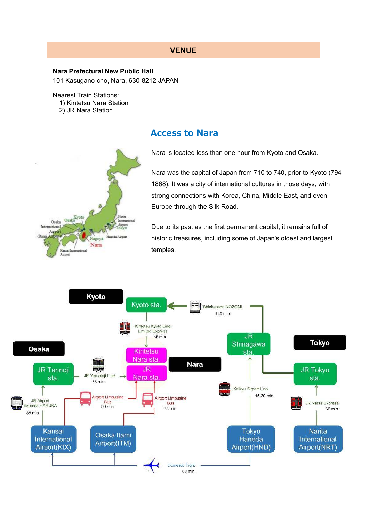## **VENUE**

#### **Nara Prefectural New Public Hall**

101 Kasugano-cho, Nara, 630-8212 JAPAN

Nearest Train Stations: 1) Kintetsu Nara Station 2) JR Nara Station

International August

> Kansai Is Airport

(Itam) Aub

# **Access to Nara**

Osaka Osaka Kyoto

Airport

Haneda Airport

Vagova Nara

Nara is located less than one hour from Kyoto and Osaka.

Nara was the capital of Japan from 710 to 740, prior to Kyoto (794- 1868). It was a city of international cultures in those days, with strong connections with Korea, China, Middle East, and even Europe through the Silk Road.

Due to its past as the first permanent capital, it remains full of historic treasures, including some of Japan's oldest and largest temples.

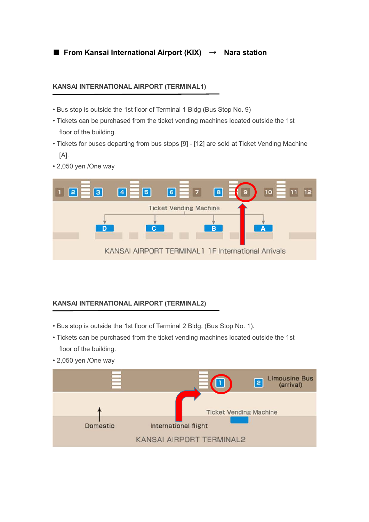

## **KANSAI INTERNATIONAL AIRPORT (TERMINAL1)**

- Bus stop is outside the 1st floor of Terminal 1 Bldg (Bus Stop No. 9)
- Tickets can be purchased from the ticket vending machines located outside the 1st floor of the building.
- Tickets for buses departing from bus stops [9] [12] are sold at Ticket Vending Machine  $[A]$ .
- 2,050 yen /One way



#### **KANSAI INTERNATIONAL AIRPORT (TERMINAL2)**

- Bus stop is outside the 1st floor of Terminal 2 Bldg. (Bus Stop No. 1).
- Tickets can be purchased from the ticket vending machines located outside the 1st floor of the building.
- 2,050 yen /One way

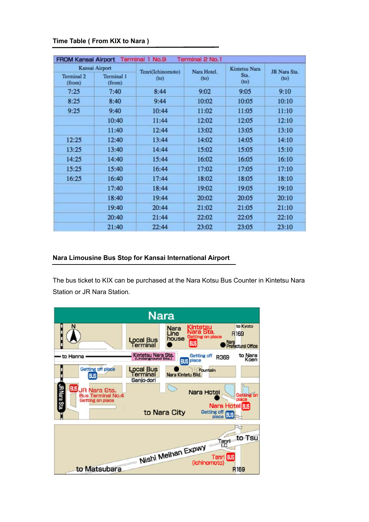| Kansai Airport       |                      | Tenri(Ichinomoto) | Nara Hotel. | <b>Kintetsu Nara</b> | JR Nara Sta. |  |
|----------------------|----------------------|-------------------|-------------|----------------------|--------------|--|
| Terminal 2<br>(from) | Terminal 1<br>(from) | (to)              | (10)        | Sta.<br>(to)         | (to)         |  |
| 7:25                 | 7:40                 | 8:44              | 9:02        | 9:05                 | 9:10         |  |
| 8:25                 | 8:40                 | 9:44              | 10:02       | 10:05                | 10:10        |  |
| 9:25                 | 9:40                 | 10:44             | 11:02       | 11:05                | 11:10        |  |
|                      | 10:40                | 11:44             | 12:02       | 12:05                | 12:10        |  |
|                      | 11:40                | 12:44             | 13:02       | 13:05                | 13:10        |  |
| 12:25                | 12:40                | 13:44             | 14:02       | 14:05                | 14:10        |  |
| 13:25                | 13:40                | 14:44             | 15:02       | 15:05                | 15:10        |  |
| 14:25                | 14:40                | 15:44             | 16:02       | 16:05                | 16:10        |  |
| 15:25                | 15:40                | 16:44             | 17:02       | 17:05                | 17:10        |  |
| 16:25                | 16:40                | 17:44             | 18:02       | 18:05                | 18:10        |  |
|                      | 17:40                | 18:44             | 19:02       | 19:05                | 19:10        |  |
|                      | 18:40                | 19:44             | 20:02       | 20:05                | 20:10        |  |
|                      | 19:40                | 20:44             | 21:02       | 21:05                | 21:10        |  |
|                      | 20:40                | 21:44             | 22:02       | 22:05                | 22:10        |  |
|                      | 21:40                | 22:44             | 23:02       | 23:05                | 23:10        |  |

# **Time Table ( From KIX to Nara )**

#### **Nara Limousine Bus Stop for Kansai International Airport**

The bus ticket to KIX can be purchased at the Nara Kotsu Bus Counter in Kintetsu Nara Station or JR Nara Station.

| Nara                                                                                        |                                                                                                                                              |                                       |  |  |  |  |  |
|---------------------------------------------------------------------------------------------|----------------------------------------------------------------------------------------------------------------------------------------------|---------------------------------------|--|--|--|--|--|
| N                                                                                           | Kintetsu<br>Nara Sta.<br>Nara<br>Line<br>R <sub>169</sub><br>Getting on place<br>house<br><b>Local Bus</b><br>Nara<br><b>BUS</b><br>Terminal | to Kyoto<br><b>Prefectural Office</b> |  |  |  |  |  |
| to Hanna                                                                                    | Kintetsu Nara Sta.<br>(Underground Sta.)<br><b>Getting off</b><br>R369<br><b>BUS</b> place                                                   | to Nara<br>Koen                       |  |  |  |  |  |
| Getting off place<br>BUS                                                                    | <b>Local Bus</b><br>Fountain<br>Terminal<br>Nara Kintetu Bild.<br>Sanjo-dori                                                                 |                                       |  |  |  |  |  |
| <b>BIS JR Nara Sta.</b><br><b>RNara Sta</b><br><b>Bus Terminal No.4</b><br>Getting on place | <b>Nara Hotel</b><br>place<br><b>Nara Hotel BUS</b><br>to Nara City<br>Getting off <b>BUS</b>                                                | Getting on                            |  |  |  |  |  |
| to Matsubara                                                                                | Tenri to Tsu<br>Nishi Meihan Expwy<br><b>Tenri BUS</b><br>(ichinomoto)<br>R169                                                               |                                       |  |  |  |  |  |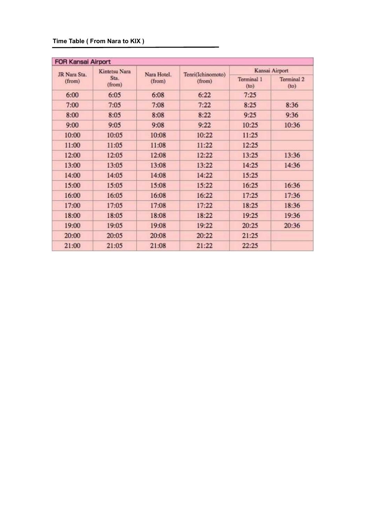#### **Time Table ( From Nara to KIX )**

| JR Nara Sta.<br>(from) | Kintetsu Nara  | Nara Hotel. | Tenri(Ichinomoto) | Kansai Airport     |                    |  |
|------------------------|----------------|-------------|-------------------|--------------------|--------------------|--|
|                        | Sta.<br>(from) | (from)      | (from)            | Terminal 1<br>(to) | Terminal 2<br>(to) |  |
| 6:00                   | 6:05           | 6:08        | 6:22              | 7:25               |                    |  |
| 7:00                   | 7:05           | 7:08        | 7:22              | 8:25               | 8:36               |  |
| 8:00                   | 8:05           | 8:08        | 8:22              | 9:25               | 9:36               |  |
| 9:00                   | 9:05           | 9:08        | 9:22              | 10:25              | 10:36              |  |
| 10:00                  | 10:05          | 10:08       | 10:22             | 11:25              |                    |  |
| 11:00                  | 11:05          | 11:08       | 11:22             | 12:25              |                    |  |
| 12:00                  | 12:05          | 12:08       | 12:22             | 13:25              | 13:36              |  |
| 13:00                  | 13:05          | 13:08       | 13:22             | 14:25              | 14:36              |  |
| 14:00                  | 14:05          | 14:08       | 14:22             | 15:25              |                    |  |
| 15:00                  | 15:05          | 15:08       | 15:22             | 16:25              | 16:36              |  |
| 16:00                  | 16:05          | 16:08       | 16:22             | 17:25<br>17:36     |                    |  |
| 17:00                  | 17:05          | 17:08       | 17:22             | 18:25              | 18:36              |  |
| 18:00                  | 18:05          | 18:08       | 18:22             | 19:25<br>19:36     |                    |  |
| 19:00                  | 19:05          | 19:08       | 19:22             | 20:25              | 20:36              |  |
| 20:00                  | 20:05          | 20:08       | 20:22             | 21:25              |                    |  |
| 21:00                  | 21:05          | 21:08       | 21:22             | 22:25              |                    |  |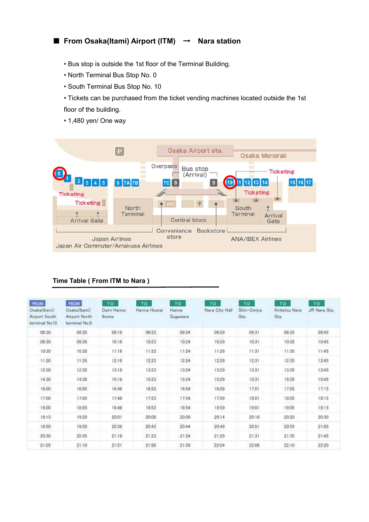# ■ **From Osaka(Itami) Airport (ITM)** → **Nara station**

**•** Bus stop is outside the 1st floor of the Terminal Building.

- North Terminal Bus Stop No. 0
- South Terminal Bus Stop No. 10
- Tickets can be purchased from the ticket vending machines located outside the 1st floor of the building.
- 1,480 yen/ One way



#### **Time Table ( From ITM to Nara )**

| <b>FROM</b><br>Osaka(Itami)<br>Airport South<br>terminal No10 | <b>FROM</b><br>Osaka(Itami)<br>Airport North<br>terminal No.0 | TO.<br>Daini Hanna<br><b>Ikoma</b> | TO.<br>Hanna Hourai | TO.<br>Hanna<br>Sugawara | TO.<br>Nara City Hall | TO:<br>Shin-Omiya<br>Sta. | TO.<br>Kintetsu Nara<br>Sta. | TO:<br>JR Nara Sta. |
|---------------------------------------------------------------|---------------------------------------------------------------|------------------------------------|---------------------|--------------------------|-----------------------|---------------------------|------------------------------|---------------------|
| 08:30                                                         | 08:35                                                         | 09:16                              | 09:23               | 09:24                    | 09:29                 | 09:31                     | 09:35                        | 09:45               |
| 09:30                                                         | 09:35                                                         | 10:16                              | 1023                | 10:24                    | 10:29                 | 10:31                     | 10:35                        | 10:45               |
| 10:30                                                         | 10:35                                                         | 11:16                              | 11:23               | 11:24                    | 11:29                 | 11:31                     | 11:35                        | 11:45               |
| 11:30                                                         | 11:35                                                         | 12:16                              | 12:23               | 12:24                    | 12:29                 | 12:31                     | 12:35                        | 12:45               |
| 12:30                                                         | 12:35                                                         | 13:16                              | 13:23               | 13:24                    | 13:29                 | 13:31                     | 13:35                        | 13:45               |
| 14:30                                                         | 14:35                                                         | 15:16                              | 1523                | 15:24                    | 15:29                 | 15:31                     | 15:35                        | 15:45               |
| 16:00                                                         | 16:05                                                         | 16:46                              | 16:53               | 16:54                    | 16:59                 | 17:01                     | 17:05                        | 17:15               |
| 17:00                                                         | 17:05                                                         | 17:46                              | 17:53               | 17:54                    | 17:59                 | 18:01                     | 18:05                        | 18:15               |
| 18:00                                                         | 18:05                                                         | 18:46                              | 18:53               | 18:54                    | 18:59                 | 19:01                     | 19:05                        | 19:15               |
| 19:15                                                         | 19:20                                                         | 20:01                              | 20:08               | 20:09                    | 20:14                 | 20:16                     | 20:20                        | 20:30               |
| 19:50                                                         | 19.55                                                         | 20:36                              | 20:43               | 20:44                    | 20:49                 | 20:51                     | 20:55                        | 21:05               |
| 20:30                                                         | 20:35                                                         | 21:16                              | 21:23               | 21:24                    | 21:29                 | 21:31                     | 21:35                        | 21:45               |
| 21:05                                                         | 21:10                                                         | 21:51                              | $21 - 58$           | 21:59                    | 22:04                 | 22:08                     | 22:10                        | 22:20               |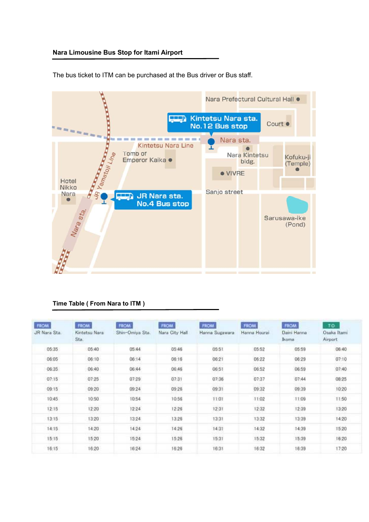#### **Nara Limousine Bus Stop for Itami Airport**



The bus ticket to ITM can be purchased at the Bus driver or Bus staff.

#### **Time Table ( From Nara to ITM )**

| FROM<br>JR Nara Sta. | FROM<br>Kintetsu Nara<br>Sta: | FROM<br>Shin-Omiya Sta. | <b>FROM</b><br>Nara City Hall | <b>FROM</b><br>Hanna Sugawara | FROM<br>Hanna Hourai | FROM<br>Daini Hanna<br><b>Ikoma</b> | TO.<br>Osaka Itami<br>Airport. |
|----------------------|-------------------------------|-------------------------|-------------------------------|-------------------------------|----------------------|-------------------------------------|--------------------------------|
| 05:35                | 05:40                         | 05:44                   | 05:46                         | 05:51                         | 05:52                | 05:59                               | 06:40                          |
| 06:05                | 06:10                         | 06:14                   | 06:16                         | 06:21                         | 06:22                | 06:29                               | 07:10                          |
| 06:35                | 06:40                         | 06:44                   | 06:46                         | 06:51                         | 06.52                | 06:59                               | 07:40                          |
| 07:15                | 07:25                         | 07:29                   | 07:31                         | 07:36                         | 07:37                | 07:44                               | 08:25                          |
| 09:15                | 09:20                         | 09:24                   | 09:26                         | 09:31                         | 09:32                | 09:39                               | 10:20                          |
| 10:45                | 10:50                         | 10:54                   | 10:56                         | 11:01                         | 11:02                | 11.09                               | 11:50                          |
| 12:15                | 12:20                         | 12:24                   | 12:26                         | 12:31                         | 12:32                | 12:39                               | 13:20                          |
| 13:15                | 13:20                         | 13:24                   | 13:26                         | 13:31                         | 13:32                | 13:39                               | 14:20                          |
| 14:15                | 14:20                         | 14:24                   | 14:26                         | 14:31                         | 14:32                | 14:39                               | 15.20                          |
| 15:15                | 15:20                         | 15:24                   | 15:26                         | 15:31                         | 15:32                | 15:39                               | 16:20                          |
| 16:15                | 16:20                         | 16:24                   | 16:26                         | 16:31                         | 16:32                | 16:39                               | 17:20                          |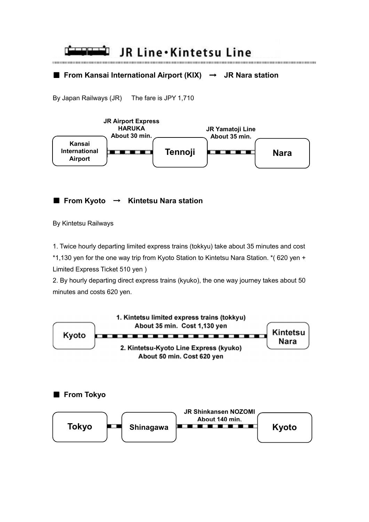# JR Line . Kintetsu Line

# ■ **From Kansai International Airport (KIX)** → **JR Nara station**

By Japan Railways (JR) The fare is JPY 1,710



■ **From Kyoto** → **Kintetsu Nara station** 

By Kintetsu Railways

1. Twice hourly departing limited express trains (tokkyu) take about 35 minutes and cost \*1,130 yen for the one way trip from Kyoto Station to Kintetsu Nara Station. \*( 620 yen +

Limited Express Ticket 510 yen )

2. By hourly departing direct express trains (kyuko), the one way journey takes about 50 minutes and costs 620 yen.

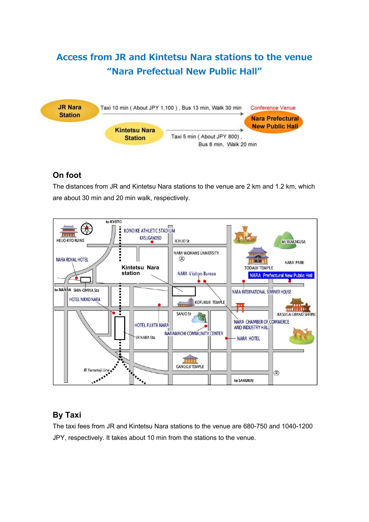# **Access from JR and Kintetsu Nara stations to the venue "Nara Prefectual New Public Hall"**



# **On foot**

The distances from JR and Kintetsu Nara stations to the venue are 2 km and 1.2 km, which are about 30 min and 20 min walk, respectively.



# **By Taxi**

The taxi fees from JR and Kintetsu Nara stations to the venue are 680-750 and 1040-1200 JPY, respectively. It takes about 10 min from the stations to the venue.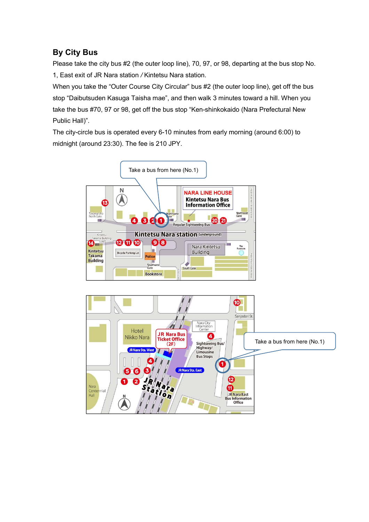# **By City Bus**

Please take the city bus #2 (the outer loop line), 70, 97, or 98, departing at the bus stop No. 1, East exit of JR Nara station */* Kintetsu Nara station.

When you take the "Outer Course City Circular" bus #2 (the outer loop line), get off the bus stop "Daibutsuden Kasuga Taisha mae", and then walk 3 minutes toward a hill. When you take the bus #70, 97 or 98, get off the bus stop "Ken-shinkokaido (Nara Prefectural New Public Hall)".

The city-circle bus is operated every 6-10 minutes from early morning (around 6:00) to midnight (around 23:30). The fee is 210 JPY.



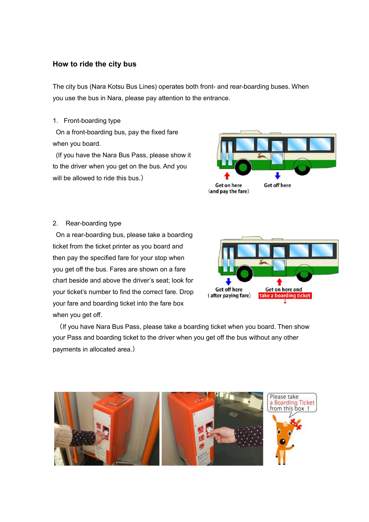#### **How to ride the city bus**

The city bus (Nara Kotsu Bus Lines) operates both front- and rear-boarding buses. When you use the bus in Nara, please pay attention to the entrance.

#### 1. Front-boarding type

 On a front-boarding bus, pay the fixed fare when you board.

 (If you have the Nara Bus Pass, please show it to the driver when you get on the bus. And you will be allowed to ride this bus.)



(and pay the fare)

#### 2. Rear-boarding type

On a rear-boarding bus, please take a boarding ticket from the ticket printer as you board and then pay the specified fare for your stop when you get off the bus. Fares are shown on a fare chart beside and above the driver's seat; look for your ticket's number to find the correct fare. Drop your fare and boarding ticket into the fare box when you get off.



(If you have Nara Bus Pass, please take a boarding ticket when you board. Then show your Pass and boarding ticket to the driver when you get off the bus without any other payments in allocated area.)